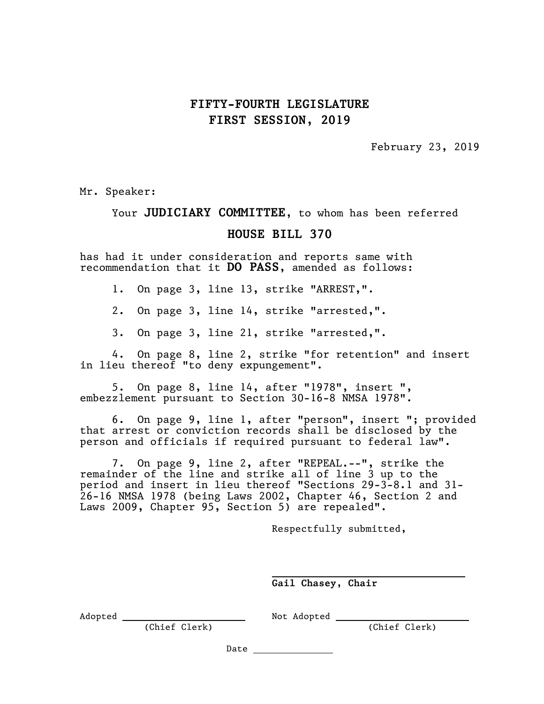## **FIFTY-FOURTH LEGISLATURE FIRST SESSION, 2019**

February 23, 2019

Mr. Speaker:

## Your **JUDICIARY COMMITTEE,** to whom has been referred

## **HOUSE BILL 370**

has had it under consideration and reports same with recommendation that it **DO PASS**, amended as follows:

1. On page 3, line 13, strike "ARREST,".

2. On page 3, line 14, strike "arrested,".

3. On page 3, line 21, strike "arrested,".

4. On page 8, line 2, strike "for retention" and insert in lieu thereof "to deny expungement".

5. On page 8, line 14, after "1978", insert ", embezzlement pursuant to Section 30-16-8 NMSA 1978".

6. On page 9, line 1, after "person", insert "; provided that arrest or conviction records shall be disclosed by the person and officials if required pursuant to federal law".

7. On page 9, line 2, after "REPEAL.--", strike the remainder of the line and strike all of line 3 up to the period and insert in lieu thereof "Sections 29-3-8.1 and 31- 26-16 NMSA 1978 (being Laws 2002, Chapter 46, Section 2 and Laws 2009, Chapter 95, Section 5) are repealed".

Respectfully submitted,

**Gail Chasey, Chair**

(Chief Clerk)

Adopted Not Adopted

Date

l,